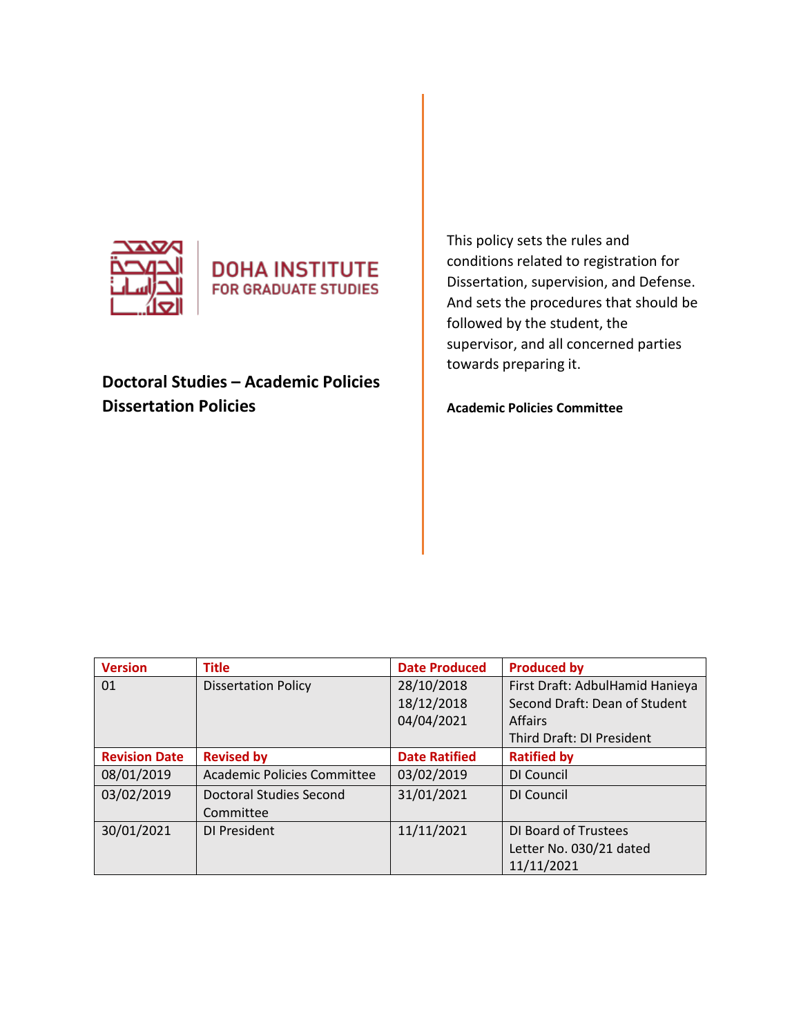



# **Doctoral Studies – Academic Policies Dissertation Policies**

This policy sets the rules and conditions related to registration for Dissertation, supervision, and Defense. And sets the procedures that should be followed by the student, the supervisor, and all concerned parties towards preparing it.

**Academic Policies Committee** 

| <b>Version</b>       | <b>Title</b>                       | <b>Date Produced</b> | <b>Produced by</b>              |
|----------------------|------------------------------------|----------------------|---------------------------------|
| 01                   | <b>Dissertation Policy</b>         | 28/10/2018           | First Draft: AdbulHamid Hanieya |
|                      |                                    | 18/12/2018           | Second Draft: Dean of Student   |
|                      |                                    | 04/04/2021           | <b>Affairs</b>                  |
|                      |                                    |                      | Third Draft: DI President       |
| <b>Revision Date</b> | <b>Revised by</b>                  | <b>Date Ratified</b> | <b>Ratified by</b>              |
| 08/01/2019           | <b>Academic Policies Committee</b> | 03/02/2019           | DI Council                      |
| 03/02/2019           | Doctoral Studies Second            | 31/01/2021           | DI Council                      |
|                      | Committee                          |                      |                                 |
| 30/01/2021           | DI President                       | 11/11/2021           | DI Board of Trustees            |
|                      |                                    |                      | Letter No. 030/21 dated         |
|                      |                                    |                      | 11/11/2021                      |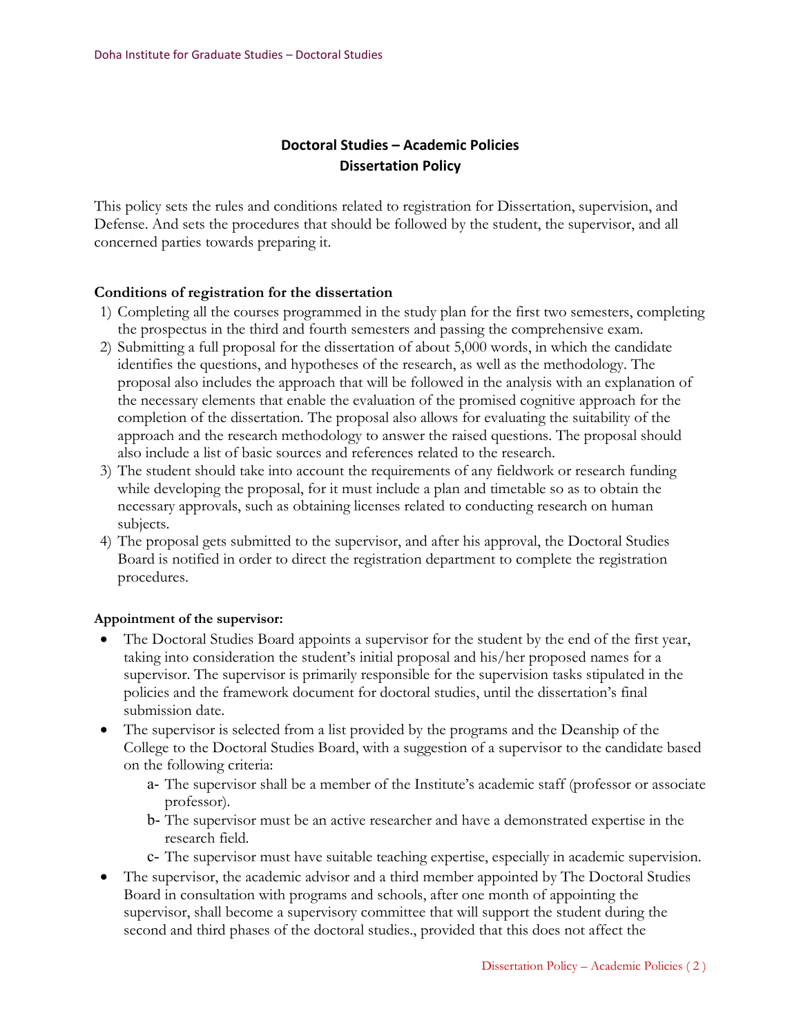# **Doctoral Studies – Academic Policies Dissertation Policy**

This policy sets the rules and conditions related to registration for Dissertation, supervision, and Defense. And sets the procedures that should be followed by the student, the supervisor, and all concerned parties towards preparing it.

# **Conditions of registration for the dissertation**

- 1) Completing all the courses programmed in the study plan for the first two semesters, completing the prospectus in the third and fourth semesters and passing the comprehensive exam.
- 2) Submitting a full proposal for the dissertation of about 5,000 words, in which the candidate identifies the questions, and hypotheses of the research, as well as the methodology. The proposal also includes the approach that will be followed in the analysis with an explanation of the necessary elements that enable the evaluation of the promised cognitive approach for the completion of the dissertation. The proposal also allows for evaluating the suitability of the approach and the research methodology to answer the raised questions. The proposal should also include a list of basic sources and references related to the research.
- 3) The student should take into account the requirements of any fieldwork or research funding while developing the proposal, for it must include a plan and timetable so as to obtain the necessary approvals, such as obtaining licenses related to conducting research on human subjects.
- 4) The proposal gets submitted to the supervisor, and after his approval, the Doctoral Studies Board is notified in order to direct the registration department to complete the registration procedures.

# **Appointment of the supervisor:**

- The Doctoral Studies Board appoints a supervisor for the student by the end of the first year, taking into consideration the student's initial proposal and his/her proposed names for a supervisor. The supervisor is primarily responsible for the supervision tasks stipulated in the policies and the framework document for doctoral studies, until the dissertation's final submission date.
- The supervisor is selected from a list provided by the programs and the Deanship of the College to the Doctoral Studies Board, with a suggestion of a supervisor to the candidate based on the following criteria:
	- a- The supervisor shall be a member of the Institute's academic staff (professor or associate professor).
	- b- The supervisor must be an active researcher and have a demonstrated expertise in the research field.
	- c- The supervisor must have suitable teaching expertise, especially in academic supervision.
- The supervisor, the academic advisor and a third member appointed by The Doctoral Studies Board in consultation with programs and schools, after one month of appointing the supervisor, shall become a supervisory committee that will support the student during the second and third phases of the doctoral studies., provided that this does not affect the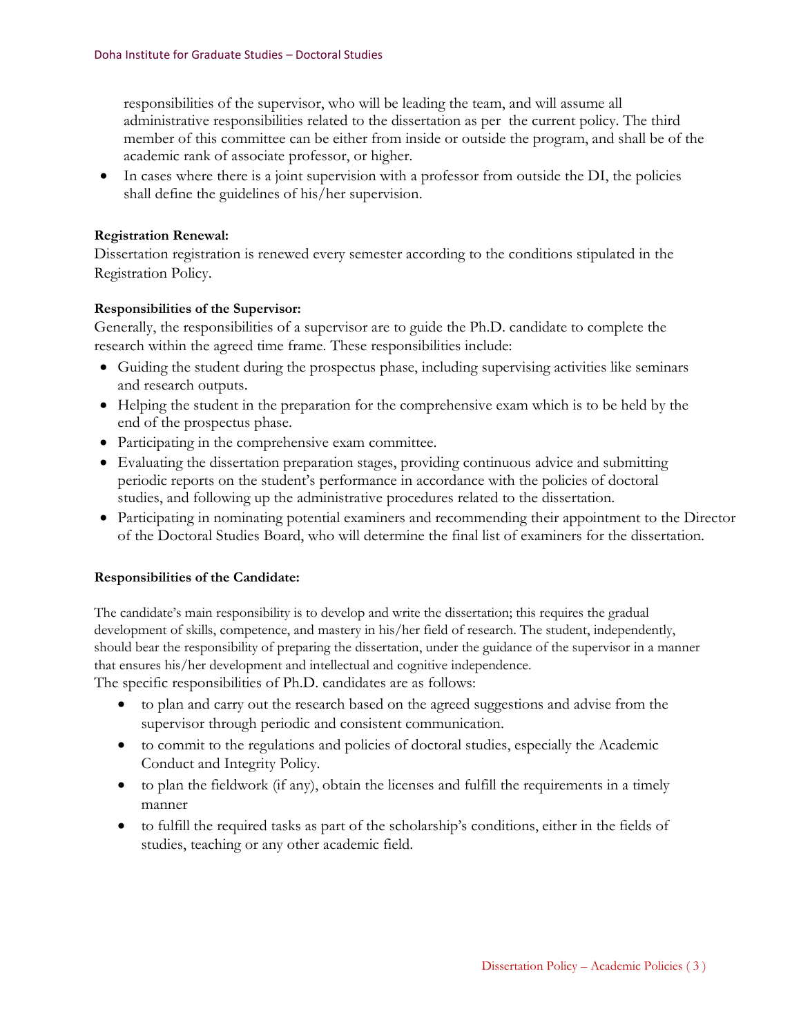responsibilities of the supervisor, who will be leading the team, and will assume all administrative responsibilities related to the dissertation as per the current policy. The third member of this committee can be either from inside or outside the program, and shall be of the academic rank of associate professor, or higher.

• In cases where there is a joint supervision with a professor from outside the DI, the policies shall define the guidelines of his/her supervision.

# **Registration Renewal:**

Dissertation registration is renewed every semester according to the conditions stipulated in the Registration Policy.

# **Responsibilities of the Supervisor:**

Generally, the responsibilities of a supervisor are to guide the Ph.D. candidate to complete the research within the agreed time frame. These responsibilities include:

- Guiding the student during the prospectus phase, including supervising activities like seminars and research outputs.
- Helping the student in the preparation for the comprehensive exam which is to be held by the end of the prospectus phase.
- Participating in the comprehensive exam committee.
- Evaluating the dissertation preparation stages, providing continuous advice and submitting periodic reports on the student's performance in accordance with the policies of doctoral studies, and following up the administrative procedures related to the dissertation.
- Participating in nominating potential examiners and recommending their appointment to the Director of the Doctoral Studies Board, who will determine the final list of examiners for the dissertation.

# **Responsibilities of the Candidate:**

The candidate's main responsibility is to develop and write the dissertation; this requires the gradual development of skills, competence, and mastery in his/her field of research. The student, independently, should bear the responsibility of preparing the dissertation, under the guidance of the supervisor in a manner that ensures his/her development and intellectual and cognitive independence.

The specific responsibilities of Ph.D. candidates are as follows:

- to plan and carry out the research based on the agreed suggestions and advise from the supervisor through periodic and consistent communication.
- to commit to the regulations and policies of doctoral studies, especially the Academic Conduct and Integrity Policy.
- $\bullet$  to plan the fieldwork (if any), obtain the licenses and fulfill the requirements in a timely manner
- to fulfill the required tasks as part of the scholarship's conditions, either in the fields of studies, teaching or any other academic field.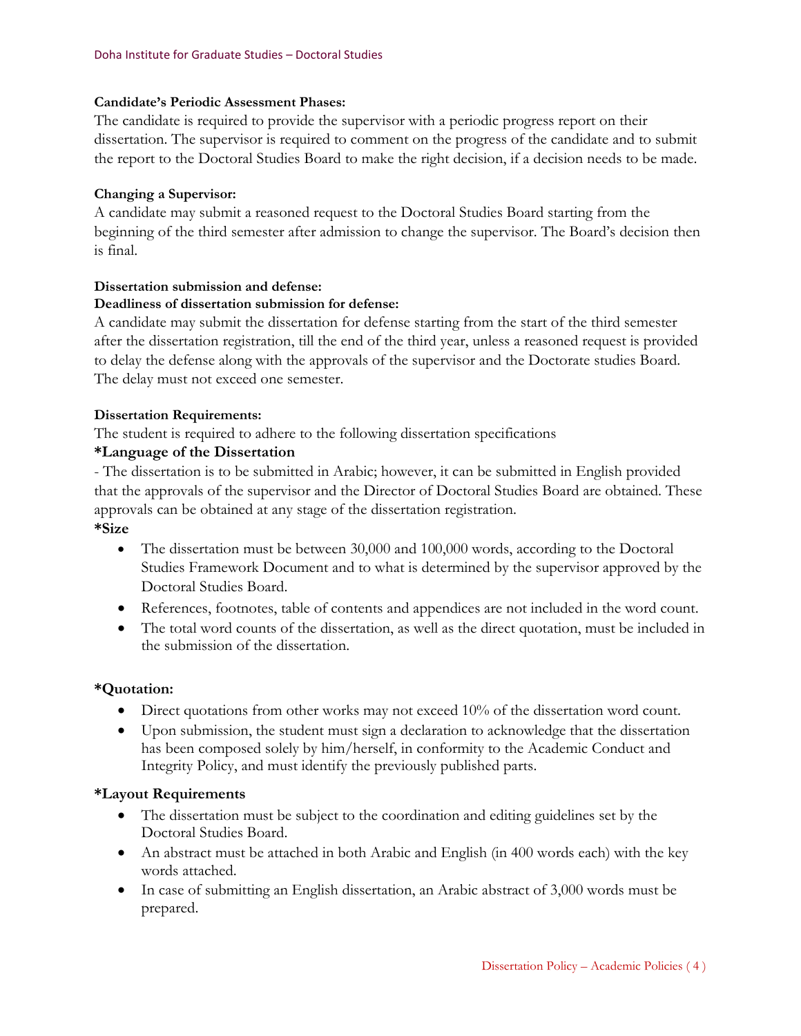## **Candidate's Periodic Assessment Phases:**

The candidate is required to provide the supervisor with a periodic progress report on their dissertation. The supervisor is required to comment on the progress of the candidate and to submit the report to the Doctoral Studies Board to make the right decision, if a decision needs to be made.

## **Changing a Supervisor:**

A candidate may submit a reasoned request to the Doctoral Studies Board starting from the beginning of the third semester after admission to change the supervisor. The Board's decision then is final.

#### **Dissertation submission and defense:**

### **Deadliness of dissertation submission for defense:**

A candidate may submit the dissertation for defense starting from the start of the third semester after the dissertation registration, till the end of the third year, unless a reasoned request is provided to delay the defense along with the approvals of the supervisor and the Doctorate studies Board. The delay must not exceed one semester.

#### **Dissertation Requirements:**

The student is required to adhere to the following dissertation specifications

# **\*Language of the Dissertation**

- The dissertation is to be submitted in Arabic; however, it can be submitted in English provided that the approvals of the supervisor and the Director of Doctoral Studies Board are obtained. These approvals can be obtained at any stage of the dissertation registration.

# **\*Size**

- The dissertation must be between 30,000 and 100,000 words, according to the Doctoral Studies Framework Document and to what is determined by the supervisor approved by the Doctoral Studies Board.
- References, footnotes, table of contents and appendices are not included in the word count.
- The total word counts of the dissertation, as well as the direct quotation, must be included in the submission of the dissertation.

## **\*Quotation:**

- Direct quotations from other works may not exceed 10% of the dissertation word count.
- Upon submission, the student must sign a declaration to acknowledge that the dissertation has been composed solely by him/herself, in conformity to the Academic Conduct and Integrity Policy, and must identify the previously published parts.

## **\*Layout Requirements**

- The dissertation must be subject to the coordination and editing guidelines set by the Doctoral Studies Board.
- An abstract must be attached in both Arabic and English (in 400 words each) with the key words attached.
- In case of submitting an English dissertation, an Arabic abstract of 3,000 words must be prepared.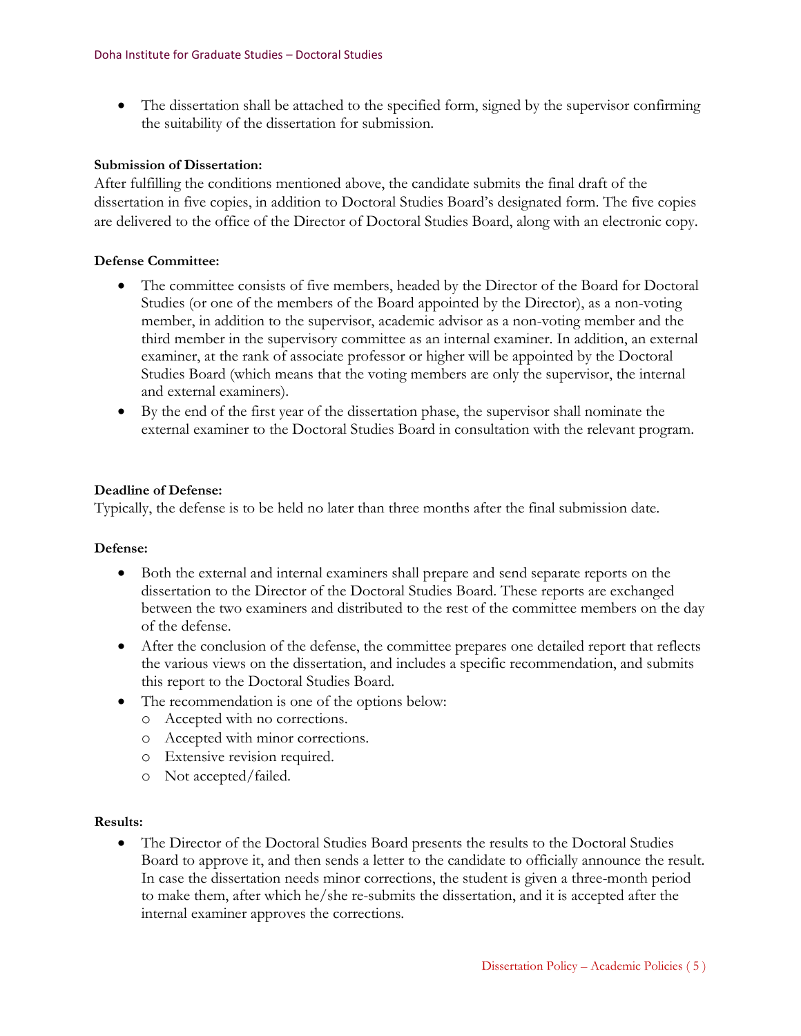• The dissertation shall be attached to the specified form, signed by the supervisor confirming the suitability of the dissertation for submission.

# **Submission of Dissertation:**

After fulfilling the conditions mentioned above, the candidate submits the final draft of the dissertation in five copies, in addition to Doctoral Studies Board's designated form. The five copies are delivered to the office of the Director of Doctoral Studies Board, along with an electronic copy.

# **Defense Committee:**

- The committee consists of five members, headed by the Director of the Board for Doctoral Studies (or one of the members of the Board appointed by the Director), as a non-voting member, in addition to the supervisor, academic advisor as a non-voting member and the third member in the supervisory committee as an internal examiner. In addition, an external examiner, at the rank of associate professor or higher will be appointed by the Doctoral Studies Board (which means that the voting members are only the supervisor, the internal and external examiners).
- By the end of the first year of the dissertation phase, the supervisor shall nominate the external examiner to the Doctoral Studies Board in consultation with the relevant program.

# **Deadline of Defense:**

Typically, the defense is to be held no later than three months after the final submission date.

## **Defense:**

- Both the external and internal examiners shall prepare and send separate reports on the dissertation to the Director of the Doctoral Studies Board. These reports are exchanged between the two examiners and distributed to the rest of the committee members on the day of the defense.
- After the conclusion of the defense, the committee prepares one detailed report that reflects the various views on the dissertation, and includes a specific recommendation, and submits this report to the Doctoral Studies Board.
- The recommendation is one of the options below:
	- o Accepted with no corrections.
	- o Accepted with minor corrections.
	- o Extensive revision required.
	- o Not accepted/failed.

## **Results:**

• The Director of the Doctoral Studies Board presents the results to the Doctoral Studies Board to approve it, and then sends a letter to the candidate to officially announce the result. In case the dissertation needs minor corrections, the student is given a three-month period to make them, after which he/she re-submits the dissertation, and it is accepted after the internal examiner approves the corrections.